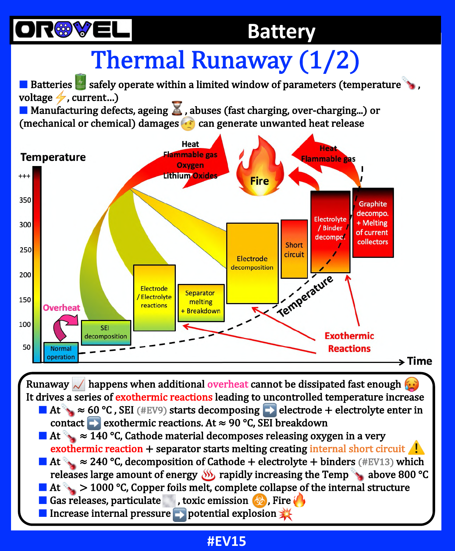

### **Battery**

# Thermal Runaway (1/2)

 $\blacksquare$  Batteries  $\blacksquare$  safely operate within a limited window of parameters (temperature voltage  $\neq$ , current...)

**E** Manufacturing defects, ageing  $\blacktriangle$ , abuses (fast charging, over-charging...) or (mechanical or chemical) damages  $\bullet$  can generate unwanted heat release



Runaway  $\angle$  happens when additional overheat cannot be dissipated fast enough  $\frac{R}{n}$ . It drives a series of exothermic reactions leading to uncontrolled temperature increase **E** At  $\approx$  60 °C, SEI (#EV9) starts decomposing **E** electrode + electrolyte enter in contact  $\Box$  exothermic reactions. At  $\approx$  90 °C, SEI breakdown **E** At  $\approx$   $\overline{140}$  °C, Cathode material decomposes releasing oxygen in a very exothermic reaction + separator starts melting creating internal short circuit  $\mathbf{A}$ **■** At  $\approx$  240 °C, decomposition of Cathode + electrolyte + binders (#EV13) which releases large amount of energy  $\frac{1}{2}$  rapidly increasing the Temp  $\frac{1}{2}$  above 800 °C **Example 1000 °C, Copper foils melt, complete collapse of the internal structure** 

 $\blacksquare$  Gas releases, particulate  $\blacksquare$ , toxic emission  $\clubsuit$ , Fire

**External pressure Departual explosion**  $\frac{1}{2}$ 

#### **#EV15**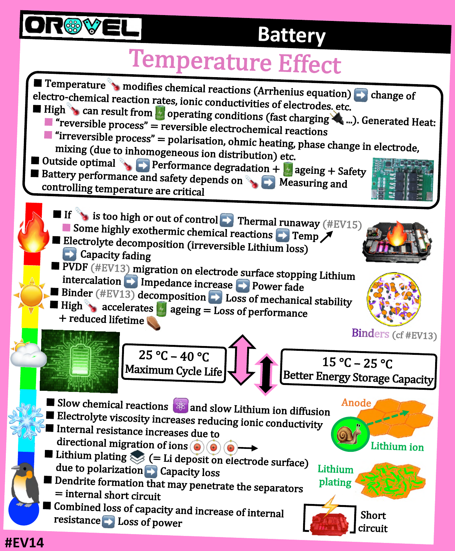

## **Battery**

## **Temperature Effect**

 $\frac{intercal}{\text{F}}$  Impedance increase  $\rightarrow$  Power fade  $\blacksquare$  Slow chemical reactions  $\bigcircledast$  and slow Lithium ion diffusion  $\blacksquare$  Electrolyte viscosity increases reducing ionic conductivity ■ Internal resistance increases due to directional migration of ions  $\bigcirc$  $\blacksquare$  Lithium plating  $\bigotimes$  (= Li deposit on electrode surface) due to polarization **Capacity** loss  $\blacksquare$  Dendrite formation that may penetrate the separators = internal short circuit  $\blacksquare$  Combined loss of capacity and increase of internal resistance **D** Loss of power 25 °C – 40 °C Maximum Cycle Life 15 °C – 25 °C Better Energy Storage Capacity  $\blacksquare$  Temperature  $\blacktriangleright$  modifies chemical reactions (Arrhenius equation)  $\blacktriangleright$  change of electro-chemical reaction rates, ionic conductivities of electrodes, etc. ■ High can result from  $\frac{1}{2}$  operating conditions (fast charging ...). Generated Heat:  $\blacksquare$  "reversible process" = reversible electrochemical reactions  $\blacksquare$  "irreversible process" = polarisation, ohmic heating, phase change in electrode,<br>mixing (due to inhomogeneous isp. dimits in the string, phase change in electrode, mixing (due to inhomogeneous ion distribution) etc. **Dutside optimal**  $\bullet$  Performance degradation +  $\bullet$  ageing + Safety ■ Battery performance and safety depends on **AD** Measuring and controlling temperature are critical Binders (cf #EV13) Anode Lithium ion Lithium plating If  $\bullet$  is too high or out of control  $\bullet$  Thermal runaway (#EV15) Some highly exothermic chemical reactions  $\rightarrow$  Temp  $\rightarrow$ **E** Electrolyte decomposition (irreversible Lithium loss)  $\blacksquare$  Capacity fading  $\blacksquare$  PVDF (#EV13) migration on electrode surface stopping Lithium **E** Binder  $(\#\text{EV13})$  decomposition **D** Loss of mechanical stability  $\blacksquare$  High  $\blacktriangleright$  accelerates  $\blacksquare$  ageing = Loss of performance + reduced lifetime Short circuit

**#EV14**